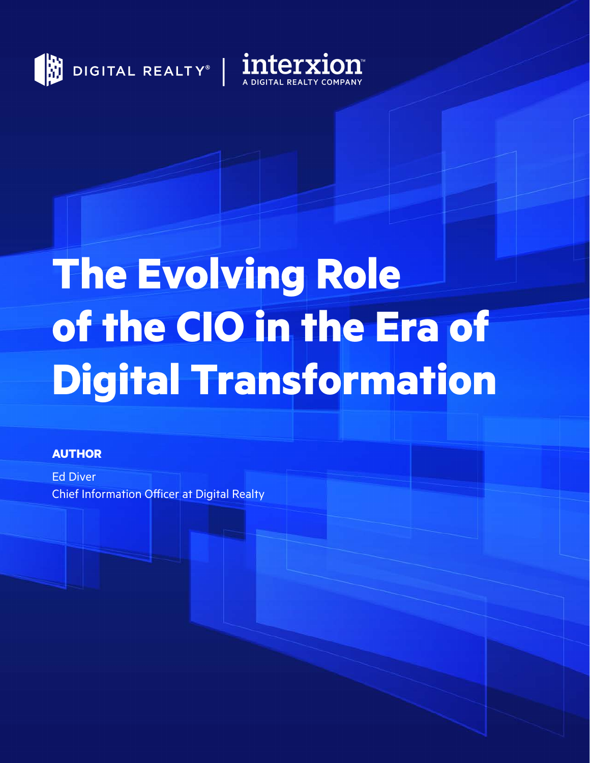



# **The Evolving Role of the CIO in the Era of Digital Transformation**

#### **AUTHOR**

Ed Diver Chief Information Officer at Digital Realty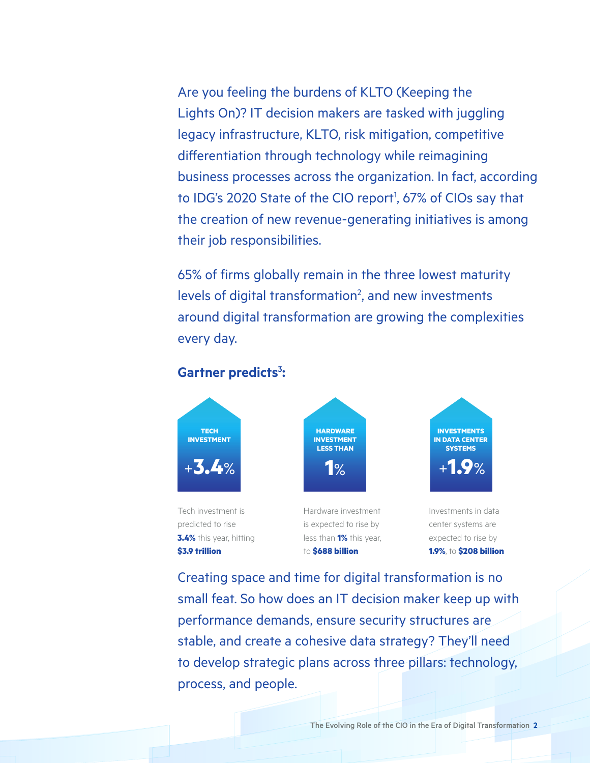Are you feeling the burdens of KLTO (Keeping the Lights On)? IT decision makers are tasked with juggling legacy infrastructure, KLTO, risk mitigation, competitive differentiation through technology while reimagining business processes across the organization. In fact, according to IDG's 2020 State of the CIO report<sup>1</sup>, 67% of CIOs say that the creation of new revenue-generating initiatives is among their job responsibilities.

65% of firms globally remain in the three lowest maturity levels of digital transformation<sup>2</sup>, and new investments around digital transformation are growing the complexities every day.

#### Gartner predicts<sup>3</sup>:



Creating space and time for digital transformation is no small feat. So how does an IT decision maker keep up with performance demands, ensure security structures are stable, and create a cohesive data strategy? They'll need to develop strategic plans across three pillars: technology, process, and people.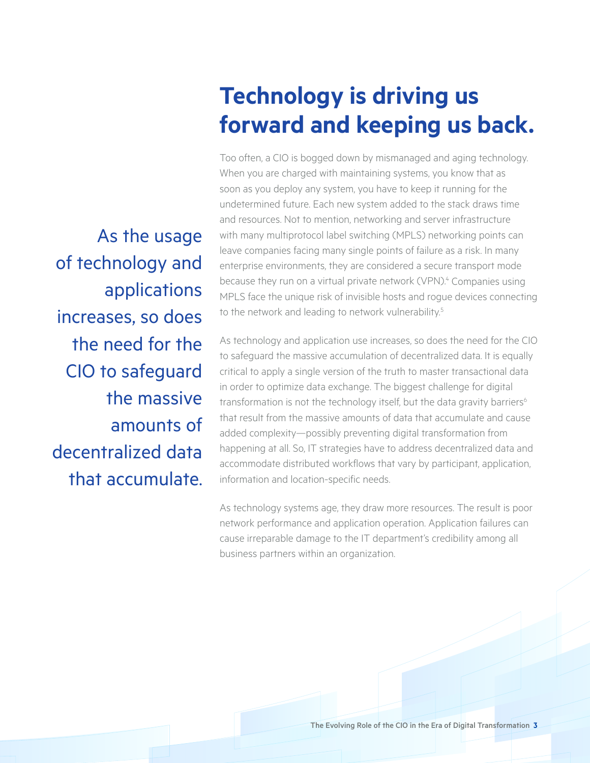# **Technology is driving us forward and keeping us back.**

Too often, a CIO is bogged down by mismanaged and aging technology. When you are charged with maintaining systems, you know that as soon as you deploy any system, you have to keep it running for the undetermined future. Each new system added to the stack draws time and resources. Not to mention, networking and server infrastructure with many multiprotocol label switching (MPLS) networking points can leave companies facing many single points of failure as a risk. In many enterprise environments, they are considered a secure transport mode because they run on a virtual private network (VPN).<sup>4</sup> Companies using MPLS face the unique risk of invisible hosts and rogue devices connecting to the network and leading to network vulnerability.<sup>5</sup>

As technology and application use increases, so does the need for the CIO to safeguard the massive accumulation of decentralized data. It is equally critical to apply a single version of the truth to master transactional data in order to optimize data exchange. The biggest challenge for digital transformation is not the technology itself, but the data gravity barriers<sup>6</sup> that result from the massive amounts of data that accumulate and cause added complexity—possibly preventing digital transformation from happening at all. So, IT strategies have to address decentralized data and accommodate distributed workflows that vary by participant, application, information and location-specific needs.

As technology systems age, they draw more resources. The result is poor network performance and application operation. Application failures can cause irreparable damage to the IT department's credibility among all business partners within an organization.

As the usage of technology and applications increases, so does the need for the CIO to safeguard the massive amounts of decentralized data that accumulate.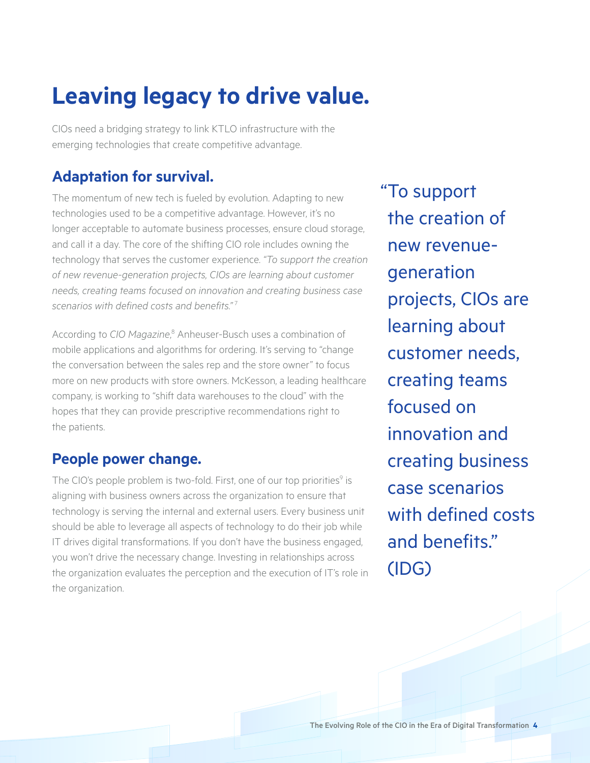# **Leaving legacy to drive value.**

CIOs need a bridging strategy to link KTLO infrastructure with the emerging technologies that create competitive advantage.

#### **Adaptation for survival.**

The momentum of new tech is fueled by evolution. Adapting to new technologies used to be a competitive advantage. However, it's no longer acceptable to automate business processes, ensure cloud storage, and call it a day. The core of the shifting CIO role includes owning the technology that serves the customer experience. *"To support the creation of new revenue-generation projects, CIOs are learning about customer needs, creating teams focused on innovation and creating business case scenarios with defined costs and benefits."* <sup>7</sup>

According to CIO Magazine,<sup>8</sup> Anheuser-Busch uses a combination of mobile applications and algorithms for ordering. It's serving to "change the conversation between the sales rep and the store owner" to focus more on new products with store owners. McKesson, a leading healthcare company, is working to "shift data warehouses to the cloud" with the hopes that they can provide prescriptive recommendations right to the patients.

#### **People power change.**

The CIO's people problem is two-fold. First, one of our top priorities<sup>9</sup> is aligning with business owners across the organization to ensure that technology is serving the internal and external users. Every business unit should be able to leverage all aspects of technology to do their job while IT drives digital transformations. If you don't have the business engaged, you won't drive the necessary change. Investing in relationships across the organization evaluates the perception and the execution of IT's role in the organization.

"To support the creation of new revenuegeneration projects, CIOs are learning about customer needs, creating teams focused on innovation and creating business case scenarios with defined costs and benefits." (IDG)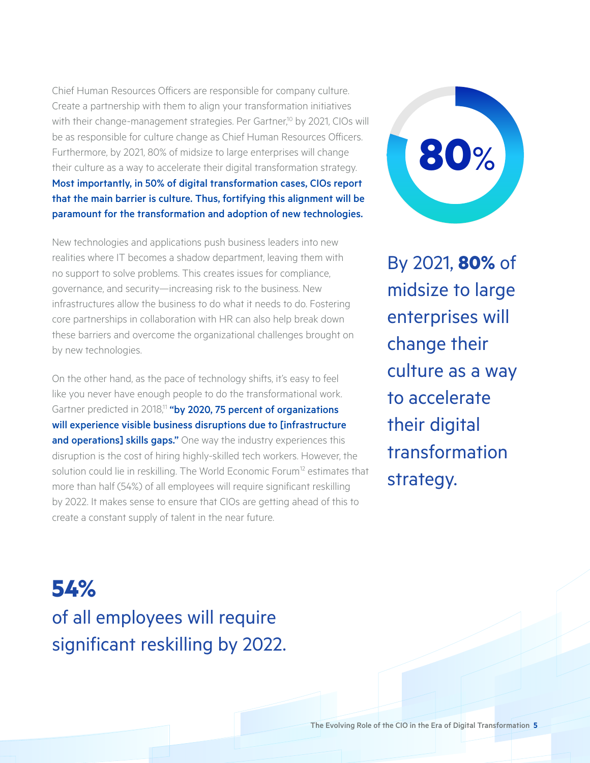Chief Human Resources Officers are responsible for company culture. Create a partnership with them to align your transformation initiatives with their change-management strategies. Per Gartner,<sup>10</sup> by 2021, CIOs will be as responsible for culture change as Chief Human Resources Officers. Furthermore, by 2021, 80% of midsize to large enterprises will change their culture as a way to accelerate their digital transformation strategy. Most importantly, in 50% of digital transformation cases, CIOs report that the main barrier is culture. Thus, fortifying this alignment will be paramount for the transformation and adoption of new technologies.

New technologies and applications push business leaders into new realities where IT becomes a shadow department, leaving them with no support to solve problems. This creates issues for compliance, governance, and security—increasing risk to the business. New infrastructures allow the business to do what it needs to do. Fostering core partnerships in collaboration with HR can also help break down these barriers and overcome the organizational challenges brought on by new technologies.

On the other hand, as the pace of technology shifts, it's easy to feel like you never have enough people to do the transformational work. Gartner predicted in 2018,<sup>11</sup> "by 2020, 75 percent of organizations will experience visible business disruptions due to [infrastructure and operations] skills gaps." One way the industry experiences this disruption is the cost of hiring highly-skilled tech workers. However, the solution could lie in reskilling. The World Economic Forum<sup>12</sup> estimates that more than half (54%) of all employees will require significant reskilling by 2022. It makes sense to ensure that CIOs are getting ahead of this to create a constant supply of talent in the near future.

**80**%

By 2021, **80%** of midsize to large enterprises will change their culture as a way to accelerate their digital transformation strategy.

**54%** of all employees will require significant reskilling by 2022.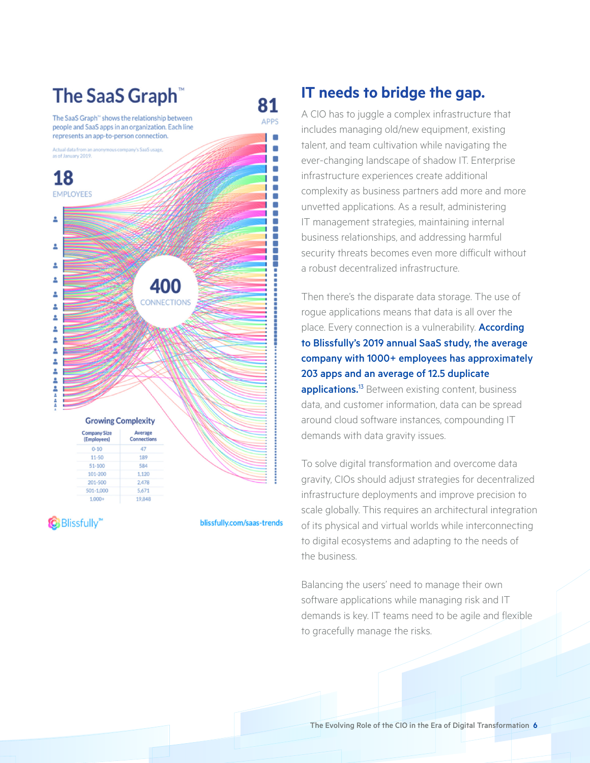#### **The SaaS Graph**<sup>®</sup> 81 The SaaS Graph<sup>®</sup> shows the relationship between **APPS** people and SaaS apps in an organization. Each line represents an app-to-person connection. ı۰  $\blacksquare$ ous company's SaaS usage Actual data from an a as of January 2019.  $\blacksquare$ п O 18  $\blacksquare$ o. **EMPLOYEES**  $\overline{\phantom{a}}$ ı Ē ዸ ---------------------2 Δ Δ 400 2 **CONNECTIONS** Δ 2 2 2 2 2 2 Δ . 2 **Growing Complexity Company Size** Average Connections (Employees)  $0 - 10$ 47  $11 - 50$ 189  $51 - 100$ 584 101-200 1.120 2.478 201-500 501-1.000 5.671  $1,000+$ 19,848

**Blissfully** 

blissfully.com/saas-trends

## **IT needs to bridge the gap.**

A CIO has to juggle a complex infrastructure that includes managing old/new equipment, existing talent, and team cultivation while navigating the ever-changing landscape of shadow IT. Enterprise infrastructure experiences create additional complexity as business partners add more and more unvetted applications. As a result, administering IT management strategies, maintaining internal business relationships, and addressing harmful security threats becomes even more difficult without a robust decentralized infrastructure.

Then there's the disparate data storage. The use of rogue applications means that data is all over the place. Every connection is a vulnerability. **According** to Blissfully's 2019 annual SaaS study, the average company with 1000+ employees has approximately 203 apps and an average of 12.5 duplicate applications.<sup>13</sup> Between existing content, business data, and customer information, data can be spread around cloud software instances, compounding IT demands with data gravity issues.

To solve digital transformation and overcome data gravity, CIOs should adjust strategies for decentralized infrastructure deployments and improve precision to scale globally. This requires an architectural integration of its physical and virtual worlds while interconnecting to digital ecosystems and adapting to the needs of the business.

Balancing the users' need to manage their own software applications while managing risk and IT demands is key. IT teams need to be agile and flexible to gracefully manage the risks.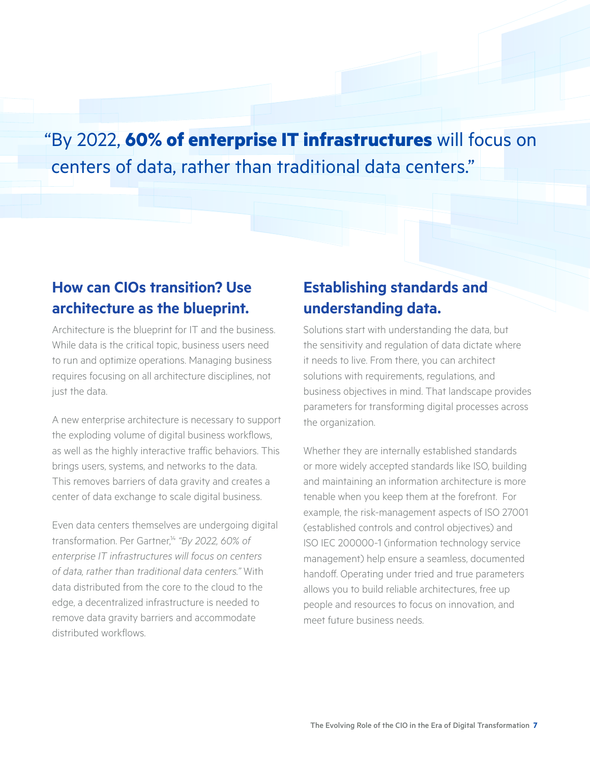"By 2022, **60% of enterprise IT infrastructures** will focus on centers of data, rather than traditional data centers."

#### **How can CIOs transition? Use architecture as the blueprint.**

Architecture is the blueprint for IT and the business. While data is the critical topic, business users need to run and optimize operations. Managing business requires focusing on all architecture disciplines, not just the data.

A new enterprise architecture is necessary to support the exploding volume of digital business workflows, as well as the highly interactive traffic behaviors. This brings users, systems, and networks to the data. This removes barriers of data gravity and creates a center of data exchange to scale digital business.

Even data centers themselves are undergoing digital transformation. Per Gartner,<sup>14</sup> "By 2022, 60% of *enterprise IT infrastructures will focus on centers of data, rather than traditional data centers."* With data distributed from the core to the cloud to the edge, a decentralized infrastructure is needed to remove data gravity barriers and accommodate distributed workflows.

#### **Establishing standards and understanding data.**

Solutions start with understanding the data, but the sensitivity and regulation of data dictate where it needs to live. From there, you can architect solutions with requirements, regulations, and business objectives in mind. That landscape provides parameters for transforming digital processes across the organization.

Whether they are internally established standards or more widely accepted standards like ISO, building and maintaining an information architecture is more tenable when you keep them at the forefront. For example, the risk-management aspects of ISO 27001 (established controls and control objectives) and ISO IEC 200000-1 (information technology service management) help ensure a seamless, documented handoff. Operating under tried and true parameters allows you to build reliable architectures, free up people and resources to focus on innovation, and meet future business needs.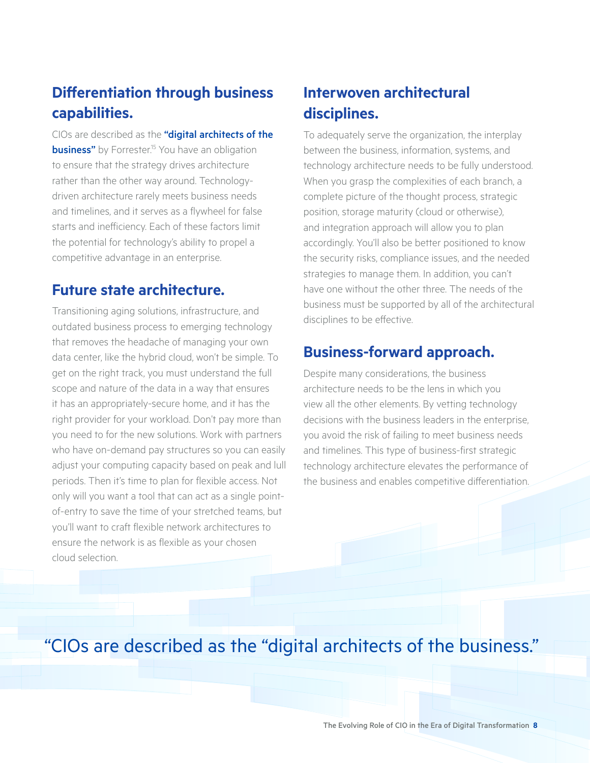### **Differentiation through business capabilities.**

CIOs are described as the "digital architects of the **business"** by Forrester.<sup>15</sup> You have an obligation to ensure that the strategy drives architecture rather than the other way around. Technologydriven architecture rarely meets business needs and timelines, and it serves as a flywheel for false starts and inefficiency. Each of these factors limit the potential for technology's ability to propel a competitive advantage in an enterprise.

#### **Future state architecture.**

Transitioning aging solutions, infrastructure, and outdated business process to emerging technology that removes the headache of managing your own data center, like the hybrid cloud, won't be simple. To get on the right track, you must understand the full scope and nature of the data in a way that ensures it has an appropriately-secure home, and it has the right provider for your workload. Don't pay more than you need to for the new solutions. Work with partners who have on-demand pay structures so you can easily adjust your computing capacity based on peak and lull periods. Then it's time to plan for flexible access. Not only will you want a tool that can act as a single pointof-entry to save the time of your stretched teams, but you'll want to craft flexible network architectures to ensure the network is as flexible as your chosen cloud selection.

## **Interwoven architectural disciplines.**

To adequately serve the organization, the interplay between the business, information, systems, and technology architecture needs to be fully understood. When you grasp the complexities of each branch, a complete picture of the thought process, strategic position, storage maturity (cloud or otherwise), and integration approach will allow you to plan accordingly. You'll also be better positioned to know the security risks, compliance issues, and the needed strategies to manage them. In addition, you can't have one without the other three. The needs of the business must be supported by all of the architectural disciplines to be effective.

#### **Business-forward approach.**

Despite many considerations, the business architecture needs to be the lens in which you view all the other elements. By vetting technology decisions with the business leaders in the enterprise. you avoid the risk of failing to meet business needs and timelines. This type of business-first strategic technology architecture elevates the performance of the business and enables competitive differentiation.

# "CIOs are described as the "digital architects of the business."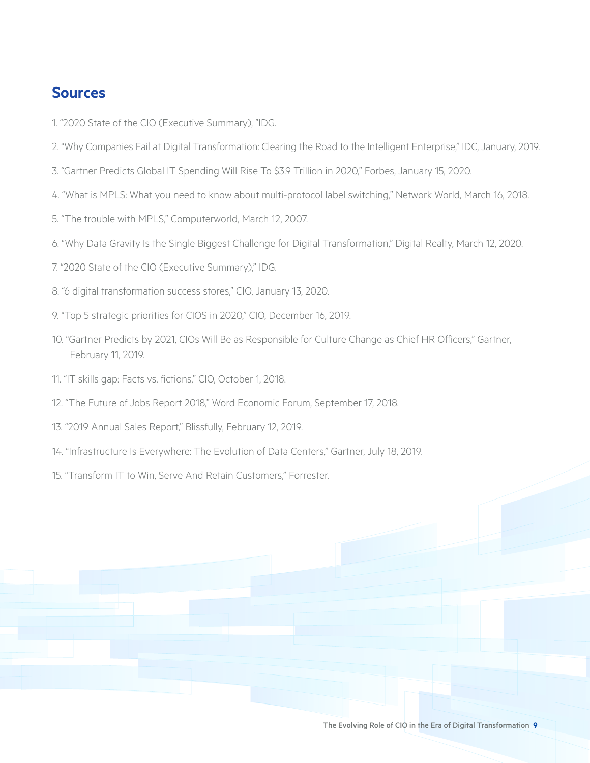#### **Sources**

- 1. "2020 State of the CIO (Executive Summary), "IDG.
- 2. "Why Companies Fail at Digital Transformation: Clearing the Road to the Intelligent Enterprise," IDC, January, 2019.
- 3. "Gartner Predicts Global IT Spending Will Rise To \$3.9 Trillion in 2020," Forbes, January 15, 2020.
- 4. "What is MPLS: What you need to know about multi-protocol label switching," Network World, March 16, 2018.
- 5. "The trouble with MPLS," Computerworld, March 12, 2007.
- 6. "Why Data Gravity Is the Single Biggest Challenge for Digital Transformation," Digital Realty, March 12, 2020.
- 7. "2020 State of the CIO (Executive Summary)," IDG.
- 8. "6 digital transformation success stores," CIO, January 13, 2020.
- 9. "Top 5 strategic priorities for CIOS in 2020," CIO, December 16, 2019.
- 10. "Gartner Predicts by 2021, CIOs Will Be as Responsible for Culture Change as Chief HR Officers," Gartner, February 11, 2019.
- 11. "IT skills gap: Facts vs. fictions," CIO, October 1, 2018.
- 12. "The Future of Jobs Report 2018," Word Economic Forum, September 17, 2018.
- 13. "2019 Annual Sales Report," Blissfully, February 12, 2019.
- 14. "Infrastructure Is Everywhere: The Evolution of Data Centers," Gartner, July 18, 2019.
- 15. "Transform IT to Win, Serve And Retain Customers," Forrester.